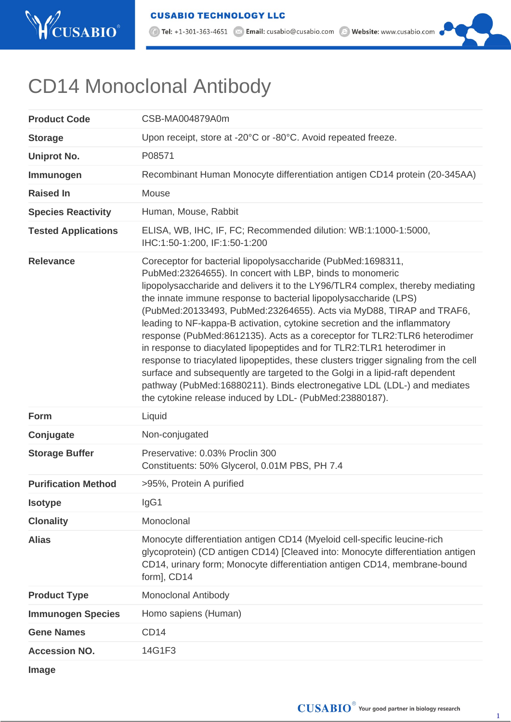

1 Tel: +1-301-363-4651 <br>
2 Email: cusabio@cusabio.com <br>
2 Website: www.cusabio.com

## CD14 Monoclonal Antibody

| <b>Product Code</b>        | CSB-MA004879A0m                                                                                                                                                                                                                                                                                                                                                                                                                                                                                                                                                                                                                                                                                                                                                                                                                                                                                               |
|----------------------------|---------------------------------------------------------------------------------------------------------------------------------------------------------------------------------------------------------------------------------------------------------------------------------------------------------------------------------------------------------------------------------------------------------------------------------------------------------------------------------------------------------------------------------------------------------------------------------------------------------------------------------------------------------------------------------------------------------------------------------------------------------------------------------------------------------------------------------------------------------------------------------------------------------------|
| <b>Storage</b>             | Upon receipt, store at -20°C or -80°C. Avoid repeated freeze.                                                                                                                                                                                                                                                                                                                                                                                                                                                                                                                                                                                                                                                                                                                                                                                                                                                 |
| <b>Uniprot No.</b>         | P08571                                                                                                                                                                                                                                                                                                                                                                                                                                                                                                                                                                                                                                                                                                                                                                                                                                                                                                        |
| Immunogen                  | Recombinant Human Monocyte differentiation antigen CD14 protein (20-345AA)                                                                                                                                                                                                                                                                                                                                                                                                                                                                                                                                                                                                                                                                                                                                                                                                                                    |
| <b>Raised In</b>           | Mouse                                                                                                                                                                                                                                                                                                                                                                                                                                                                                                                                                                                                                                                                                                                                                                                                                                                                                                         |
| <b>Species Reactivity</b>  | Human, Mouse, Rabbit                                                                                                                                                                                                                                                                                                                                                                                                                                                                                                                                                                                                                                                                                                                                                                                                                                                                                          |
| <b>Tested Applications</b> | ELISA, WB, IHC, IF, FC; Recommended dilution: WB:1:1000-1:5000,<br>IHC:1:50-1:200, IF:1:50-1:200                                                                                                                                                                                                                                                                                                                                                                                                                                                                                                                                                                                                                                                                                                                                                                                                              |
| <b>Relevance</b>           | Coreceptor for bacterial lipopolysaccharide (PubMed:1698311,<br>PubMed:23264655). In concert with LBP, binds to monomeric<br>lipopolysaccharide and delivers it to the LY96/TLR4 complex, thereby mediating<br>the innate immune response to bacterial lipopolysaccharide (LPS)<br>(PubMed:20133493, PubMed:23264655). Acts via MyD88, TIRAP and TRAF6,<br>leading to NF-kappa-B activation, cytokine secretion and the inflammatory<br>response (PubMed:8612135). Acts as a coreceptor for TLR2: TLR6 heterodimer<br>in response to diacylated lipopeptides and for TLR2: TLR1 heterodimer in<br>response to triacylated lipopeptides, these clusters trigger signaling from the cell<br>surface and subsequently are targeted to the Golgi in a lipid-raft dependent<br>pathway (PubMed:16880211). Binds electronegative LDL (LDL-) and mediates<br>the cytokine release induced by LDL- (PubMed:23880187). |
| Form                       | Liquid                                                                                                                                                                                                                                                                                                                                                                                                                                                                                                                                                                                                                                                                                                                                                                                                                                                                                                        |
| Conjugate                  | Non-conjugated                                                                                                                                                                                                                                                                                                                                                                                                                                                                                                                                                                                                                                                                                                                                                                                                                                                                                                |
| <b>Storage Buffer</b>      | Preservative: 0.03% Proclin 300<br>Constituents: 50% Glycerol, 0.01M PBS, PH 7.4                                                                                                                                                                                                                                                                                                                                                                                                                                                                                                                                                                                                                                                                                                                                                                                                                              |
| <b>Purification Method</b> | >95%, Protein A purified                                                                                                                                                                                                                                                                                                                                                                                                                                                                                                                                                                                                                                                                                                                                                                                                                                                                                      |
| <b>Isotype</b>             | IgG1                                                                                                                                                                                                                                                                                                                                                                                                                                                                                                                                                                                                                                                                                                                                                                                                                                                                                                          |
| <b>Clonality</b>           | Monoclonal                                                                                                                                                                                                                                                                                                                                                                                                                                                                                                                                                                                                                                                                                                                                                                                                                                                                                                    |
| <b>Alias</b>               | Monocyte differentiation antigen CD14 (Myeloid cell-specific leucine-rich<br>glycoprotein) (CD antigen CD14) [Cleaved into: Monocyte differentiation antigen<br>CD14, urinary form; Monocyte differentiation antigen CD14, membrane-bound<br>form], CD14                                                                                                                                                                                                                                                                                                                                                                                                                                                                                                                                                                                                                                                      |
| <b>Product Type</b>        | <b>Monoclonal Antibody</b>                                                                                                                                                                                                                                                                                                                                                                                                                                                                                                                                                                                                                                                                                                                                                                                                                                                                                    |
| <b>Immunogen Species</b>   | Homo sapiens (Human)                                                                                                                                                                                                                                                                                                                                                                                                                                                                                                                                                                                                                                                                                                                                                                                                                                                                                          |
| <b>Gene Names</b>          | CD <sub>14</sub>                                                                                                                                                                                                                                                                                                                                                                                                                                                                                                                                                                                                                                                                                                                                                                                                                                                                                              |
| <b>Accession NO.</b>       | 14G1F3                                                                                                                                                                                                                                                                                                                                                                                                                                                                                                                                                                                                                                                                                                                                                                                                                                                                                                        |
| <b>Image</b>               |                                                                                                                                                                                                                                                                                                                                                                                                                                                                                                                                                                                                                                                                                                                                                                                                                                                                                                               |

 $\textbf{CUSABIO}^{\circ}$  Your good partner in biology research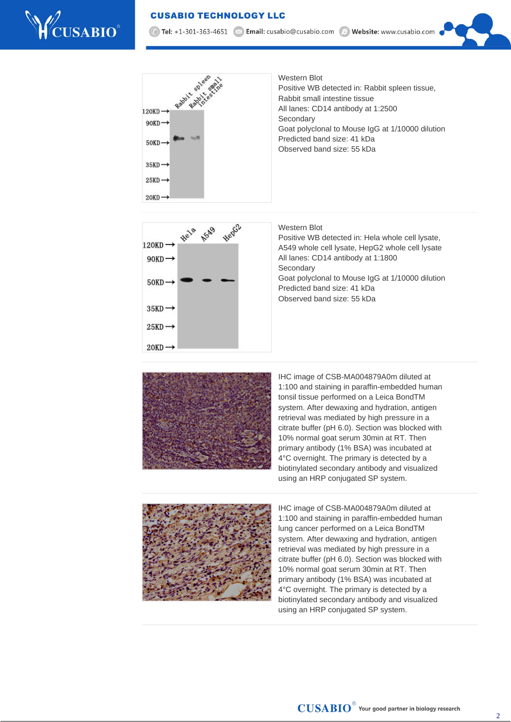## **CUSABIO TECHNOLOGY LLC**



7 Tel: +1-301-363-4651 | × Email: cusabio@cusabio.com @ Website: www.cusabio.com





Western Blot

Positive WB detected in: Hela whole cell lysate, A549 whole cell lysate, HepG2 whole cell lysate All lanes: CD14 antibody at 1:1800 **Secondary** Goat polyclonal to Mouse IgG at 1/10000 dilution Predicted band size: 41 kDa Observed band size: 55 kDa



IHC image of CSB-MA004879A0m diluted at 1:100 and staining in paraffin-embedded human tonsil tissue performed on a Leica BondTM system. After dewaxing and hydration, antigen retrieval was mediated by high pressure in a citrate buffer (pH 6.0). Section was blocked with 10% normal goat serum 30min at RT. Then primary antibody (1% BSA) was incubated at 4°C overnight. The primary is detected by a biotinylated secondary antibody and visualized using an HRP conjugated SP system.



IHC image of CSB-MA004879A0m diluted at 1:100 and staining in paraffin-embedded human lung cancer performed on a Leica BondTM system. After dewaxing and hydration, antigen retrieval was mediated by high pressure in a citrate buffer (pH 6.0). Section was blocked with 10% normal goat serum 30min at RT. Then primary antibody (1% BSA) was incubated at 4°C overnight. The primary is detected by a biotinylated secondary antibody and visualized using an HRP conjugated SP system.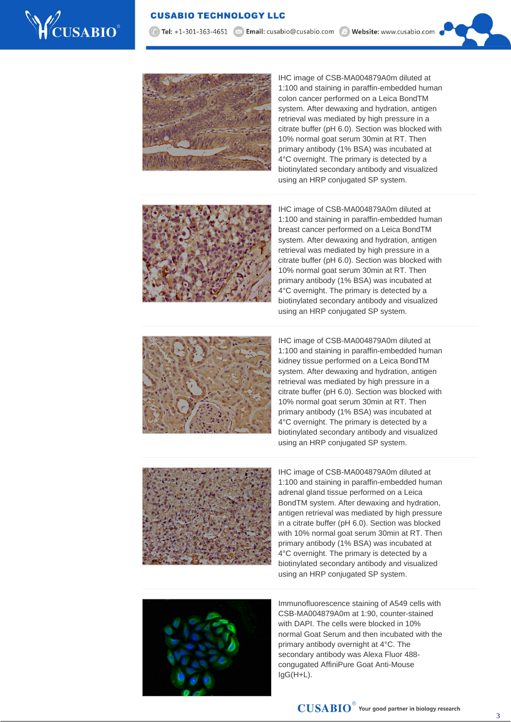

7 Tel: +1-301-363-4651 | × Email: cusabio@cusabio.com @ Website: www.cusabio.com



IHC image of CSB-MA004879A0m diluted at 1:100 and staining in paraffin-embedded human colon cancer performed on a Leica BondTM system. After dewaxing and hydration, antigen retrieval was mediated by high pressure in a citrate buffer (pH 6.0). Section was blocked with 10% normal goat serum 30min at RT. Then primary antibody (1% BSA) was incubated at 4°C overnight. The primary is detected by a biotinylated secondary antibody and visualized using an HRP conjugated SP system.



IHC image of CSB-MA004879A0m diluted at 1:100 and staining in paraffin-embedded human breast cancer performed on a Leica BondTM system. After dewaxing and hydration, antigen retrieval was mediated by high pressure in a citrate buffer (pH 6.0). Section was blocked with 10% normal goat serum 30min at RT. Then primary antibody (1% BSA) was incubated at 4°C overnight. The primary is detected by a biotinylated secondary antibody and visualized using an HRP conjugated SP system.



IHC image of CSB-MA004879A0m diluted at 1:100 and staining in paraffin-embedded human kidney tissue performed on a Leica BondTM system. After dewaxing and hydration, antigen retrieval was mediated by high pressure in a citrate buffer (pH 6.0). Section was blocked with 10% normal goat serum 30min at RT. Then primary antibody (1% BSA) was incubated at 4°C overnight. The primary is detected by a biotinylated secondary antibody and visualized using an HRP conjugated SP system.



IHC image of CSB-MA004879A0m diluted at 1:100 and staining in paraffin-embedded human adrenal gland tissue performed on a Leica BondTM system. After dewaxing and hydration, antigen retrieval was mediated by high pressure in a citrate buffer (pH 6.0). Section was blocked with 10% normal goat serum 30min at RT. Then primary antibody (1% BSA) was incubated at 4°C overnight. The primary is detected by a biotinylated secondary antibody and visualized using an HRP conjugated SP system.



Immunofluorescence staining of A549 cells with CSB-MA004879A0m at 1:90, counter-stained with DAPI. The cells were blocked in 10% normal Goat Serum and then incubated with the primary antibody overnight at 4°C. The secondary antibody was Alexa Fluor 488 congugated AffiniPure Goat Anti-Mouse IgG(H+L).

3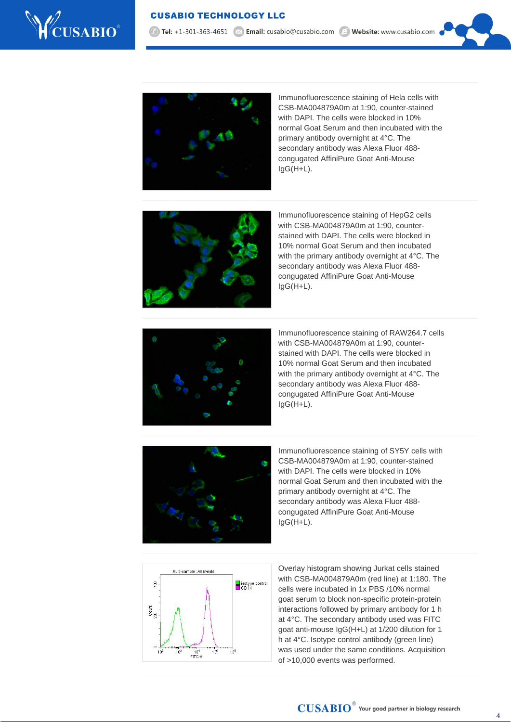

7 Tel: +1-301-363-4651 | × Email: cusabio@cusabio.com @ Website: www.cusabio.com



Immunofluorescence staining of Hela cells with CSB-MA004879A0m at 1:90, counter-stained with DAPI. The cells were blocked in 10% normal Goat Serum and then incubated with the primary antibody overnight at 4°C. The secondary antibody was Alexa Fluor 488 congugated AffiniPure Goat Anti-Mouse IgG(H+L).



Immunofluorescence staining of HepG2 cells with CSB-MA004879A0m at 1:90, counterstained with DAPI. The cells were blocked in 10% normal Goat Serum and then incubated with the primary antibody overnight at 4°C. The secondary antibody was Alexa Fluor 488 congugated AffiniPure Goat Anti-Mouse IgG(H+L).



Immunofluorescence staining of RAW264.7 cells with CSB-MA004879A0m at 1:90, counterstained with DAPI. The cells were blocked in 10% normal Goat Serum and then incubated with the primary antibody overnight at 4°C. The secondary antibody was Alexa Fluor 488 congugated AffiniPure Goat Anti-Mouse IgG(H+L).



Immunofluorescence staining of SY5Y cells with CSB-MA004879A0m at 1:90, counter-stained with DAPI. The cells were blocked in 10% normal Goat Serum and then incubated with the primary antibody overnight at 4°C. The secondary antibody was Alexa Fluor 488 congugated AffiniPure Goat Anti-Mouse IgG(H+L).



Overlay histogram showing Jurkat cells stained with CSB-MA004879A0m (red line) at 1:180. The cells were incubated in 1x PBS /10% normal goat serum to block non-specific protein-protein interactions followed by primary antibody for 1 h at 4°C. The secondary antibody used was FITC goat anti-mouse IgG(H+L) at 1/200 dilution for 1 h at 4°C. Isotype control antibody (green line) was used under the same conditions. Acquisition of >10,000 events was performed.

4